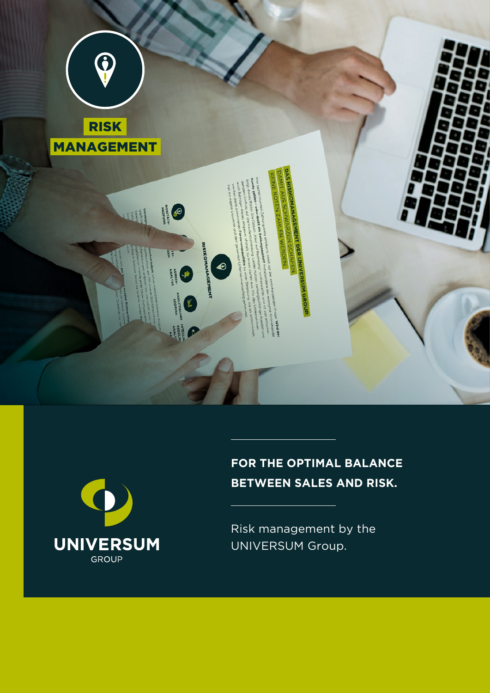



# **FOR THE OPTIMAL BALANCE BETWEEN SALES AND RISK.**

Risk management by the UNIVERSUM Group.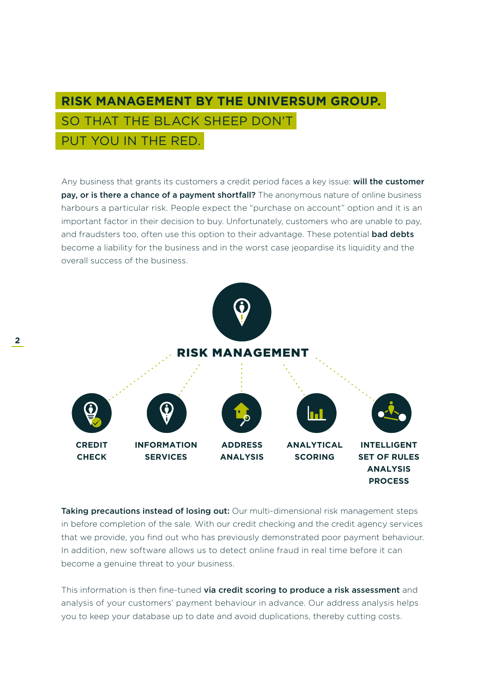### **RISK MANAGEMENT BY THE UNIVERSUM GROUP.** SO THAT THE BLACK SHEEP DON'T PUT YOU IN THE RED.

Any business that grants its customers a credit period faces a key issue: will the customer pay, or is there a chance of a payment shortfall? The anonymous nature of online business harbours a particular risk. People expect the "purchase on account" option and it is an important factor in their decision to buy. Unfortunately, customers who are unable to pay, and fraudsters too, often use this option to their advantage. These potential **bad debts** become a liability for the business and in the worst case jeopardise its liquidity and the overall success of the business.



Taking precautions instead of losing out: Our multi-dimensional risk management steps in before completion of the sale. With our credit checking and the credit agency services that we provide, you find out who has previously demonstrated poor payment behaviour. In addition, new software allows us to detect online fraud in real time before it can become a genuine threat to your business.

This information is then fine-tuned via credit scoring to produce a risk assessment and analysis of your customers' payment behaviour in advance. Our address analysis helps you to keep your database up to date and avoid duplications, thereby cutting costs.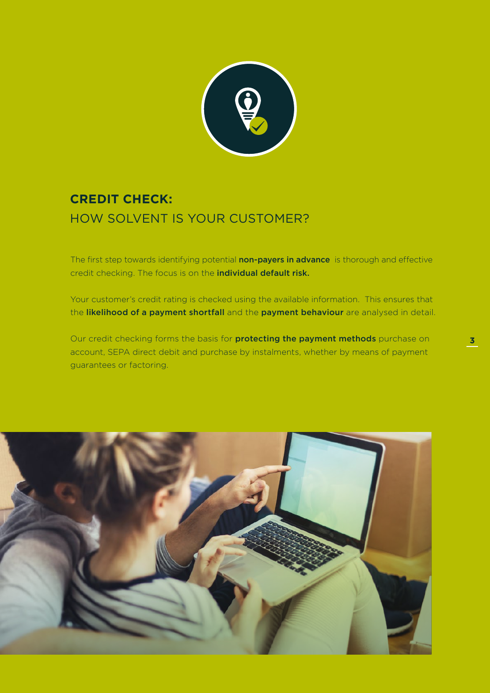

### **CREDIT CHECK:** HOW SOLVENT IS YOUR CUSTOMER?

The first step towards identifying potential non-payers in advance is thorough and effective credit checking. The focus is on the individual default risk.

Your customer's credit rating is checked using the available information. This ensures that the likelihood of a payment shortfall and the payment behaviour are analysed in detail.

Our credit checking forms the basis for **protecting the payment methods** purchase on account, SEPA direct debit and purchase by instalments, whether by means of payment guarantees or factoring.

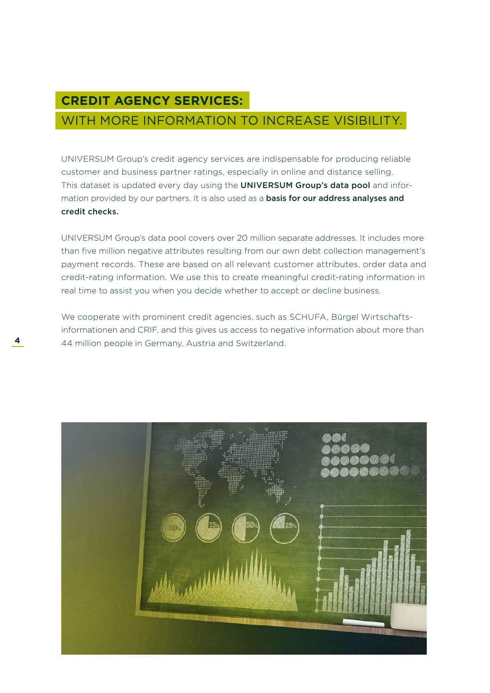### **CREDIT AGENCY SERVICES:**

### WITH MORE INFORMATION TO INCREASE VISIBILITY.

UNIVERSUM Group's credit agency services are indispensable for producing reliable customer and business partner ratings, especially in online and distance selling. This dataset is updated every day using the UNIVERSUM Group's data pool and information provided by our partners. It is also used as a **basis for our address analyses and** credit checks.

UNIVERSUM Group's data pool covers over 20 million separate addresses. It includes more than five million negative attributes resulting from our own debt collection management's payment records. These are based on all relevant customer attributes, order data and credit-rating information. We use this to create meaningful credit-rating information in real time to assist you when you decide whether to accept or decline business.

We cooperate with prominent credit agencies, such as SCHUFA, Bürgel Wirtschaftsinformationen and CRIF, and this gives us access to negative information about more than **4** 44 million people in Germany, Austria and Switzerland.

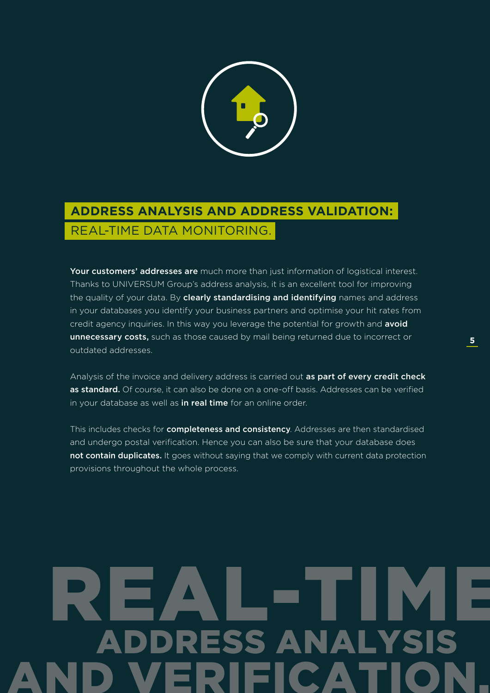

# **ADDRESS ANALYSIS AND ADDRESS VALIDATION:**  REAL-TIME DATA MONITORING.

Your customers' addresses are much more than just information of logistical interest. Thanks to UNIVERSUM Group's address analysis, it is an excellent tool for improving the quality of your data. By clearly standardising and identifying names and address in your databases you identify your business partners and optimise your hit rates from credit agency inquiries. In this way you leverage the potential for growth and avoid unnecessary costs, such as those caused by mail being returned due to incorrect or outdated addresses.

Analysis of the invoice and delivery address is carried out as part of every credit check as standard. Of course, it can also be done on a one-off basis. Addresses can be verified in your database as well as in real time for an online order.

This includes checks for **completeness and consistency**. Addresses are then standardised and undergo postal verification. Hence you can also be sure that your database does not contain duplicates. It goes without saying that we comply with current data protection provisions throughout the whole process.

# REAL-TIME RESS ANALY AND VERIFICATION.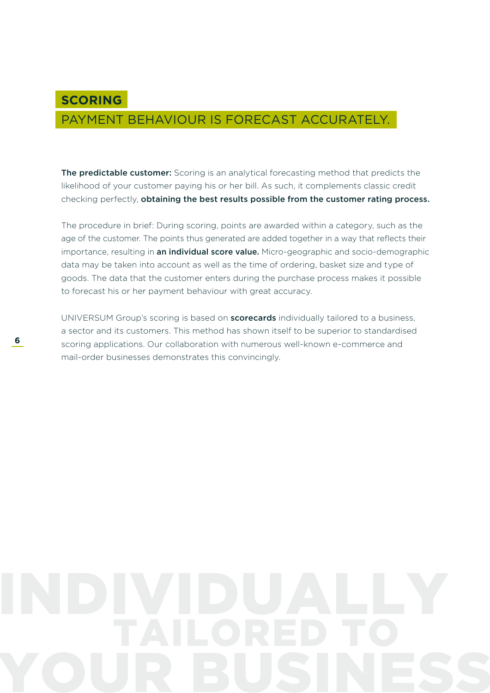### PAYMENT BEHAVIOUR IS FORECAST ACCURATELY.

The predictable customer: Scoring is an analytical forecasting method that predicts the likelihood of your customer paying his or her bill. As such, it complements classic credit checking perfectly, obtaining the best results possible from the customer rating process.

The procedure in brief: During scoring, points are awarded within a category, such as the age of the customer. The points thus generated are added together in a way that reflects their importance, resulting in an individual score value. Micro-geographic and socio-demographic data may be taken into account as well as the time of ordering, basket size and type of goods. The data that the customer enters during the purchase process makes it possible to forecast his or her payment behaviour with great accuracy.

UNIVERSUM Group's scoring is based on scorecards individually tailored to a business, a sector and its customers. This method has shown itself to be superior to standardised scoring applications. Our collaboration with numerous well-known e-commerce and mail-order businesses demonstrates this convincingly.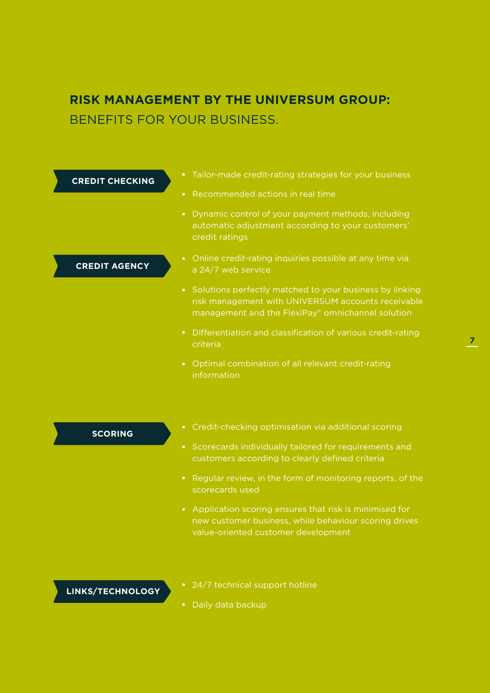### **RISK MANAGEMENT BY THE UNIVERSUM GROUP:**  BENEFITS FOR YOUR BUSINESS.

| <b>CREDIT CHECKING</b> | Tailor-made credit-rating strategies for your business<br>$\mathbf{H}^{\prime}$                                                                                                    |
|------------------------|------------------------------------------------------------------------------------------------------------------------------------------------------------------------------------|
|                        | Recommended actions in real time<br>$\mathbf{u}$                                                                                                                                   |
|                        | Dynamic control of your payment methods, including<br>$\mathbf{H}$<br>automatic adjustment according to your customers'<br>credit ratings                                          |
| <b>CREDIT AGENCY</b>   | Online credit-rating inquiries possible at any time via<br>$\blacksquare$<br>a 24/7 web service                                                                                    |
|                        | Solutions perfectly matched to your business by linking<br>$\mathbf{u}$<br>risk management with UNIVERSUM accounts receivable<br>management and the FlexiPay® omnichannel solution |
|                        | Differentiation and classification of various credit-rating<br>$\blacksquare$<br>criteria                                                                                          |
|                        | Optimal combination of all relevant credit-rating<br>$\mathbf{H}$ .<br>information                                                                                                 |
|                        |                                                                                                                                                                                    |

**SCORING**

- Credit-checking optimisation via additional scoring
- Scorecards individually tailored for requirements and customers according to clearly defined criteria
- Regular review, in the form of monitoring reports, of the scorecards used
- Application scoring ensures that risk is minimised for new customer business, while behaviour scoring drives value-oriented customer development

### **LINKS/TECHNOLOGY**

- 24/7 technical support hotline
- Daily data backup